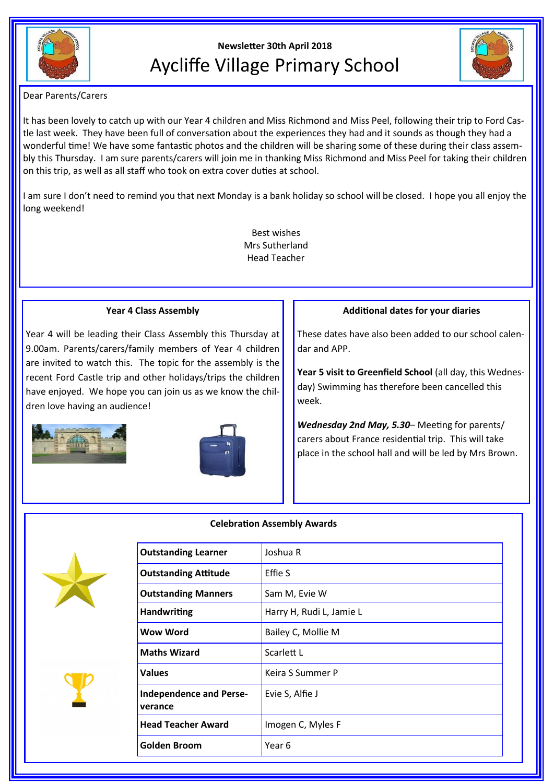

# **Newsletter 30th April 2018** Aycliffe Village Primary School



Dear Parents/Carers

It has been lovely to catch up with our Year 4 children and Miss Richmond and Miss Peel, following their trip to Ford Castle last week. They have been full of conversation about the experiences they had and it sounds as though they had a wonderful time! We have some fantastic photos and the children will be sharing some of these during their class assembly this Thursday. I am sure parents/carers will join me in thanking Miss Richmond and Miss Peel for taking their children on this trip, as well as all staff who took on extra cover duties at school.

I am sure I don't need to remind you that next Monday is a bank holiday so school will be closed. I hope you all enjoy the long weekend!

> Best wishes Mrs Sutherland Head Teacher

# **Year 4 Class Assembly**

Year 4 will be leading their Class Assembly this Thursday at 9.00am. Parents/carers/family members of Year 4 children are invited to watch this. The topic for the assembly is the recent Ford Castle trip and other holidays/trips the children have enjoyed. We hope you can join us as we know the children love having an audience!





### **Additional dates for your diaries**

These dates have also been added to our school calendar and APP.

**Year 5 visit to Greenfield School** (all day, this Wednesday) Swimming has therefore been cancelled this week.

*Wednesday 2nd May, 5.30*– Meeting for parents/ carers about France residential trip. This will take place in the school hall and will be led by Mrs Brown.





| <b>Outstanding Learner</b>                | Joshua R                 |
|-------------------------------------------|--------------------------|
| <b>Outstanding Attitude</b>               | Effie S                  |
| <b>Outstanding Manners</b>                | Sam M, Evie W            |
| <b>Handwriting</b>                        | Harry H, Rudi L, Jamie L |
| Wow Word                                  | Bailey C, Mollie M       |
| <b>Maths Wizard</b>                       | Scarlett L               |
| <b>Values</b>                             | Keira S Summer P         |
| <b>Independence and Perse-</b><br>verance | Evie S, Alfie J          |
| <b>Head Teacher Award</b>                 | Imogen C, Myles F        |
| Golden Broom                              | Year 6                   |
|                                           |                          |

# **Celebration Assembly Awards**